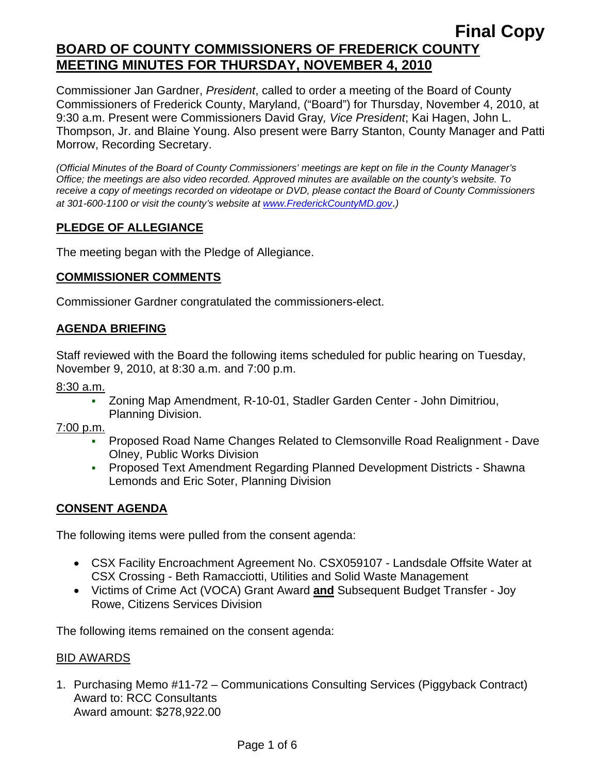Commissioner Jan Gardner, *President*, called to order a meeting of the Board of County Commissioners of Frederick County, Maryland, ("Board") for Thursday, November 4, 2010, at 9:30 a.m. Present were Commissioners David Gray*, Vice President*; Kai Hagen, John L. Thompson, Jr. and Blaine Young. Also present were Barry Stanton, County Manager and Patti Morrow, Recording Secretary.

*(Official Minutes of the Board of County Commissioners' meetings are kept on file in the County Manager's Office; the meetings are also video recorded. Approved minutes are available on the county's website. To receive a copy of meetings recorded on videotape or DVD, please contact the Board of County Commissioners at 301-600-1100 or visit the county's website at [www.FrederickCountyMD.gov](http://www.frederickcountymd.gov/)*.*)* 

### **PLEDGE OF ALLEGIANCE**

The meeting began with the Pledge of Allegiance.

### **COMMISSIONER COMMENTS**

Commissioner Gardner congratulated the commissioners-elect.

### **AGENDA BRIEFING**

Staff reviewed with the Board the following items scheduled for public hearing on Tuesday, November 9, 2010, at 8:30 a.m. and 7:00 p.m.

8:30 a.m.

 Zoning Map Amendment, R-10-01, Stadler Garden Center - John Dimitriou, Planning Division.

7:00 p.m.

- Proposed Road Name Changes Related to Clemsonville Road Realignment Dave Olney, Public Works Division
- Proposed Text Amendment Regarding Planned Development Districts Shawna Lemonds and Eric Soter, Planning Division

### **CONSENT AGENDA**

The following items were pulled from the consent agenda:

- CSX Facility Encroachment Agreement No. CSX059107 Landsdale Offsite Water at CSX Crossing - Beth Ramacciotti, Utilities and Solid Waste Management
- Victims of Crime Act (VOCA) Grant Award **and** Subsequent Budget Transfer Joy Rowe, Citizens Services Division

The following items remained on the consent agenda:

#### BID AWARDS

1. Purchasing Memo #11-72 – Communications Consulting Services (Piggyback Contract) Award to: RCC Consultants Award amount: \$278,922.00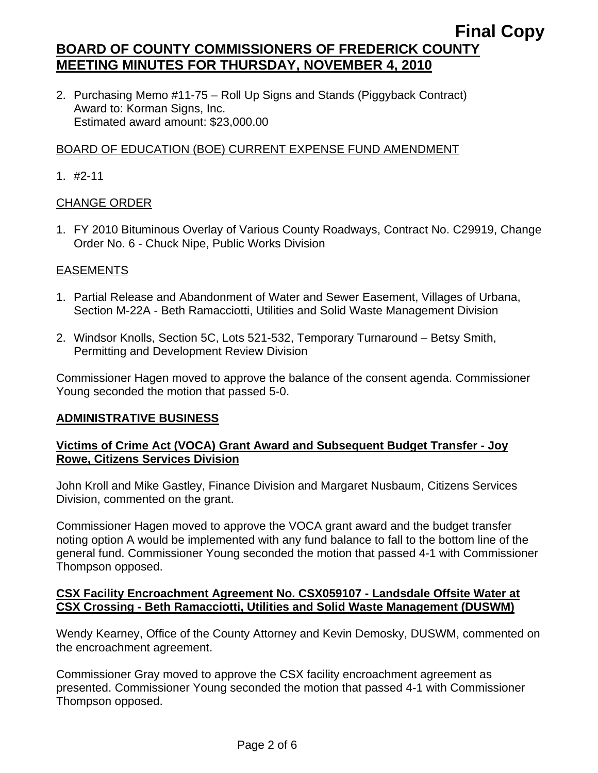2. Purchasing Memo #11-75 – Roll Up Signs and Stands (Piggyback Contract) Award to: Korman Signs, Inc. Estimated award amount: \$23,000.00

# BOARD OF EDUCATION (BOE) CURRENT EXPENSE FUND AMENDMENT

1. #2-11

### CHANGE ORDER

1. FY 2010 Bituminous Overlay of Various County Roadways, Contract No. C29919, Change Order No. 6 - Chuck Nipe, Public Works Division

### EASEMENTS

- 1. Partial Release and Abandonment of Water and Sewer Easement, Villages of Urbana, Section M-22A - Beth Ramacciotti, Utilities and Solid Waste Management Division
- 2. Windsor Knolls, Section 5C, Lots 521-532, Temporary Turnaround Betsy Smith, Permitting and Development Review Division

Commissioner Hagen moved to approve the balance of the consent agenda. Commissioner Young seconded the motion that passed 5-0.

### **ADMINISTRATIVE BUSINESS**

### **Victims of Crime Act (VOCA) Grant Award and Subsequent Budget Transfer - Joy Rowe, Citizens Services Division**

John Kroll and Mike Gastley, Finance Division and Margaret Nusbaum, Citizens Services Division, commented on the grant.

Commissioner Hagen moved to approve the VOCA grant award and the budget transfer noting option A would be implemented with any fund balance to fall to the bottom line of the general fund. Commissioner Young seconded the motion that passed 4-1 with Commissioner Thompson opposed.

### **CSX Facility Encroachment Agreement No. CSX059107 - Landsdale Offsite Water at CSX Crossing - Beth Ramacciotti, Utilities and Solid Waste Management (DUSWM)**

Wendy Kearney, Office of the County Attorney and Kevin Demosky, DUSWM, commented on the encroachment agreement.

Commissioner Gray moved to approve the CSX facility encroachment agreement as presented. Commissioner Young seconded the motion that passed 4-1 with Commissioner Thompson opposed.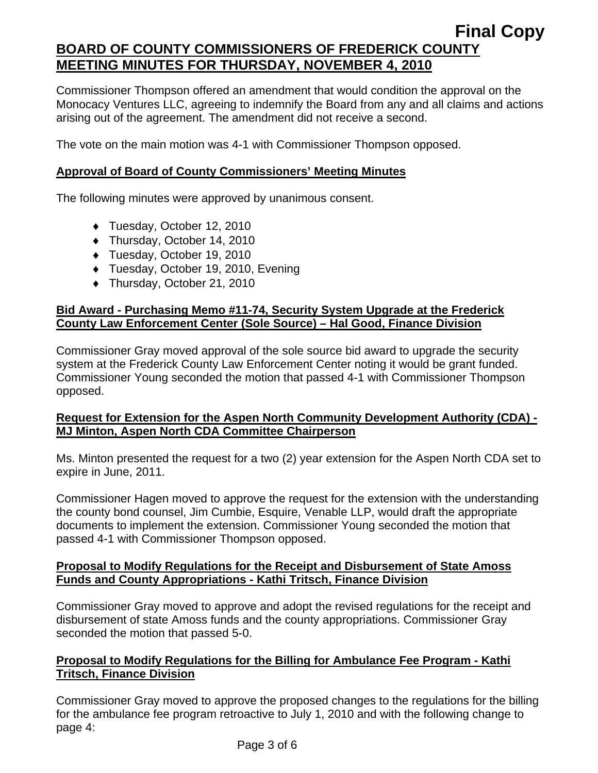Commissioner Thompson offered an amendment that would condition the approval on the Monocacy Ventures LLC, agreeing to indemnify the Board from any and all claims and actions arising out of the agreement. The amendment did not receive a second.

The vote on the main motion was 4-1 with Commissioner Thompson opposed.

## **Approval of Board of County Commissioners' Meeting Minutes**

The following minutes were approved by unanimous consent.

- ♦ Tuesday, October 12, 2010
- ♦ Thursday, October 14, 2010
- ♦ Tuesday, October 19, 2010
- ♦ Tuesday, October 19, 2010, Evening
- ♦ Thursday, October 21, 2010

### **Bid Award - Purchasing Memo #11-74, Security System Upgrade at the Frederick County Law Enforcement Center (Sole Source) – Hal Good, Finance Division**

Commissioner Gray moved approval of the sole source bid award to upgrade the security system at the Frederick County Law Enforcement Center noting it would be grant funded. Commissioner Young seconded the motion that passed 4-1 with Commissioner Thompson opposed.

### **Request for Extension for the Aspen North Community Development Authority (CDA) - MJ Minton, Aspen North CDA Committee Chairperson**

Ms. Minton presented the request for a two (2) year extension for the Aspen North CDA set to expire in June, 2011.

Commissioner Hagen moved to approve the request for the extension with the understanding the county bond counsel, Jim Cumbie, Esquire, Venable LLP, would draft the appropriate documents to implement the extension. Commissioner Young seconded the motion that passed 4-1 with Commissioner Thompson opposed.

#### **Proposal to Modify Regulations for the Receipt and Disbursement of State Amoss Funds and County Appropriations - Kathi Tritsch, Finance Division**

Commissioner Gray moved to approve and adopt the revised regulations for the receipt and disbursement of state Amoss funds and the county appropriations. Commissioner Gray seconded the motion that passed 5-0.

### **Proposal to Modify Regulations for the Billing for Ambulance Fee Program - Kathi Tritsch, Finance Division**

Commissioner Gray moved to approve the proposed changes to the regulations for the billing for the ambulance fee program retroactive to July 1, 2010 and with the following change to page 4: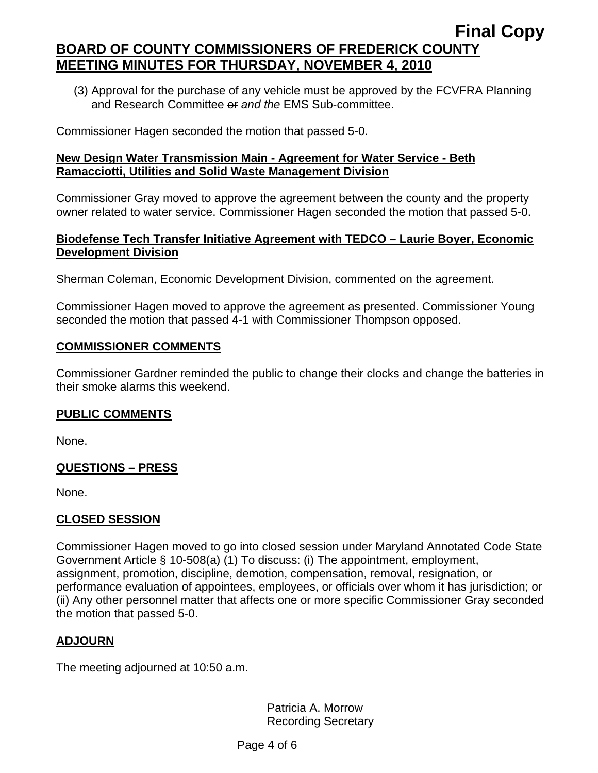(3) Approval for the purchase of any vehicle must be approved by the FCVFRA Planning and Research Committee or *and the* EMS Sub-committee.

Commissioner Hagen seconded the motion that passed 5-0.

### **New Design Water Transmission Main - Agreement for Water Service - Beth Ramacciotti, Utilities and Solid Waste Management Division**

Commissioner Gray moved to approve the agreement between the county and the property owner related to water service. Commissioner Hagen seconded the motion that passed 5-0.

### **Biodefense Tech Transfer Initiative Agreement with TEDCO – Laurie Boyer, Economic Development Division**

Sherman Coleman, Economic Development Division, commented on the agreement.

Commissioner Hagen moved to approve the agreement as presented. Commissioner Young seconded the motion that passed 4-1 with Commissioner Thompson opposed.

### **COMMISSIONER COMMENTS**

Commissioner Gardner reminded the public to change their clocks and change the batteries in their smoke alarms this weekend.

# **PUBLIC COMMENTS**

None.

# **QUESTIONS – PRESS**

None.

# **CLOSED SESSION**

Commissioner Hagen moved to go into closed session under Maryland Annotated Code State Government Article § 10-508(a) (1) To discuss: (i) The appointment, employment, assignment, promotion, discipline, demotion, compensation, removal, resignation, or performance evaluation of appointees, employees, or officials over whom it has jurisdiction; or (ii) Any other personnel matter that affects one or more specific Commissioner Gray seconded the motion that passed 5-0.

# **ADJOURN**

The meeting adjourned at 10:50 a.m.

Patricia A. Morrow Recording Secretary

Page 4 of 6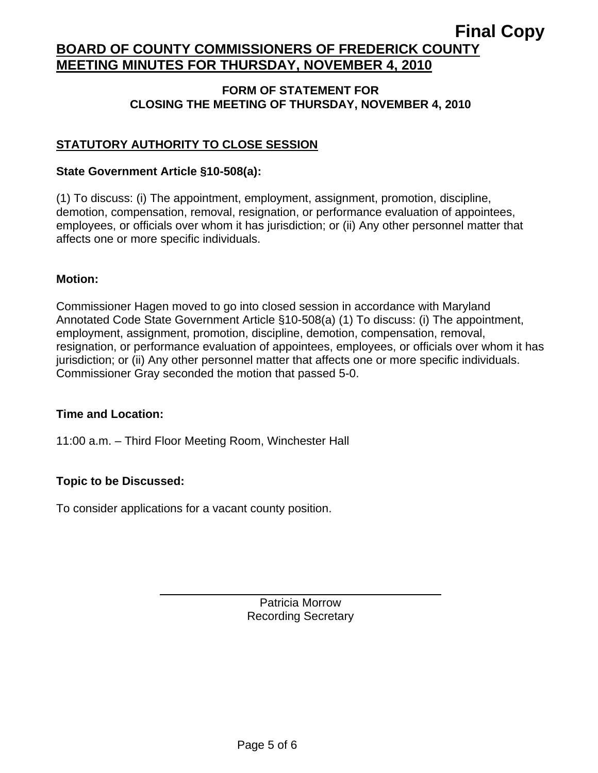#### **FORM OF STATEMENT FOR CLOSING THE MEETING OF THURSDAY, NOVEMBER 4, 2010**

# **STATUTORY AUTHORITY TO CLOSE SESSION**

#### **State Government Article §10-508(a):**

(1) To discuss: (i) The appointment, employment, assignment, promotion, discipline, demotion, compensation, removal, resignation, or performance evaluation of appointees, employees, or officials over whom it has jurisdiction; or (ii) Any other personnel matter that affects one or more specific individuals.

#### **Motion:**

Commissioner Hagen moved to go into closed session in accordance with Maryland Annotated Code State Government Article §10-508(a) (1) To discuss: (i) The appointment, employment, assignment, promotion, discipline, demotion, compensation, removal, resignation, or performance evaluation of appointees, employees, or officials over whom it has jurisdiction; or (ii) Any other personnel matter that affects one or more specific individuals. Commissioner Gray seconded the motion that passed 5-0.

#### **Time and Location:**

11:00 a.m. – Third Floor Meeting Room, Winchester Hall

### **Topic to be Discussed:**

To consider applications for a vacant county position.

 $\overline{a}$ 

Patricia Morrow Recording Secretary